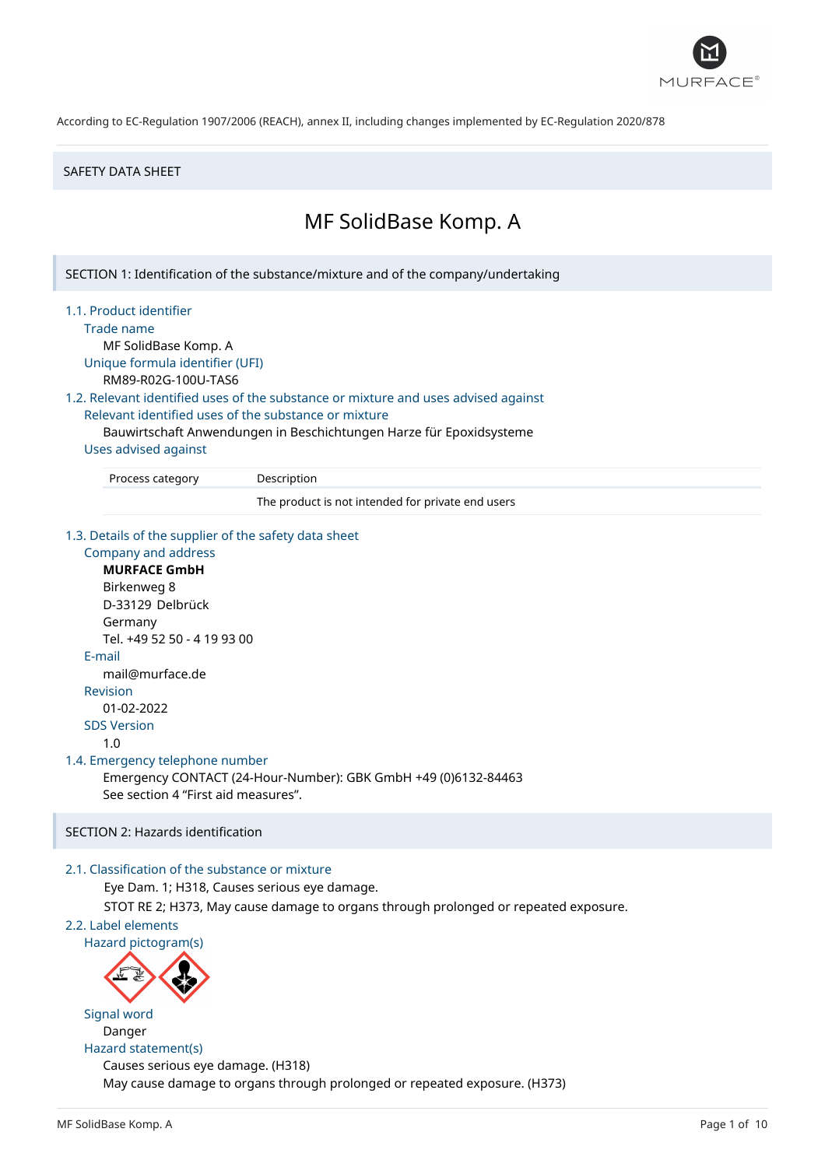

#### SAFETY DATA SHEET

# MF SolidBase Komp. A

SECTION 1: Identification of the substance/mixture and of the company/undertaking

1.1. Product identifier

Trade name

MF SolidBase Komp. A Unique formula identifier (UFI) RM89-R02G-100U-TAS6

1.2. Relevant identified uses of the substance or mixture and uses advised against Relevant identified uses of the substance or mixture

Bauwirtschaft Anwendungen in Beschichtungen Harze für Epoxidsysteme

# Uses advised against

Process category Description

The product is not intended for private end users

1.3. Details of the supplier of the safety data sheet

Company and address **MURFACE GmbH** Birkenweg 8 D-33129 Delbrück Germany Tel. +49 52 50 - 4 19 93 00 E-mail mail@murface.de Revision 01-02-2022 SDS Version 1.0 1.4. Emergency telephone number Emergency CONTACT (24-Hour-Number): GBK GmbH +49 (0)6132-84463 See section 4 "First aid measures".

# SECTION 2: Hazards identification

## 2.1. Classification of the substance or mixture

Eye Dam. 1; H318, Causes serious eye damage.

STOT RE 2; H373, May cause damage to organs through prolonged or repeated exposure.

## 2.2. Label elements

Hazard pictogram(s)



Signal word Danger Hazard statement(s)

Causes serious eye damage. (H318) May cause damage to organs through prolonged or repeated exposure. (H373)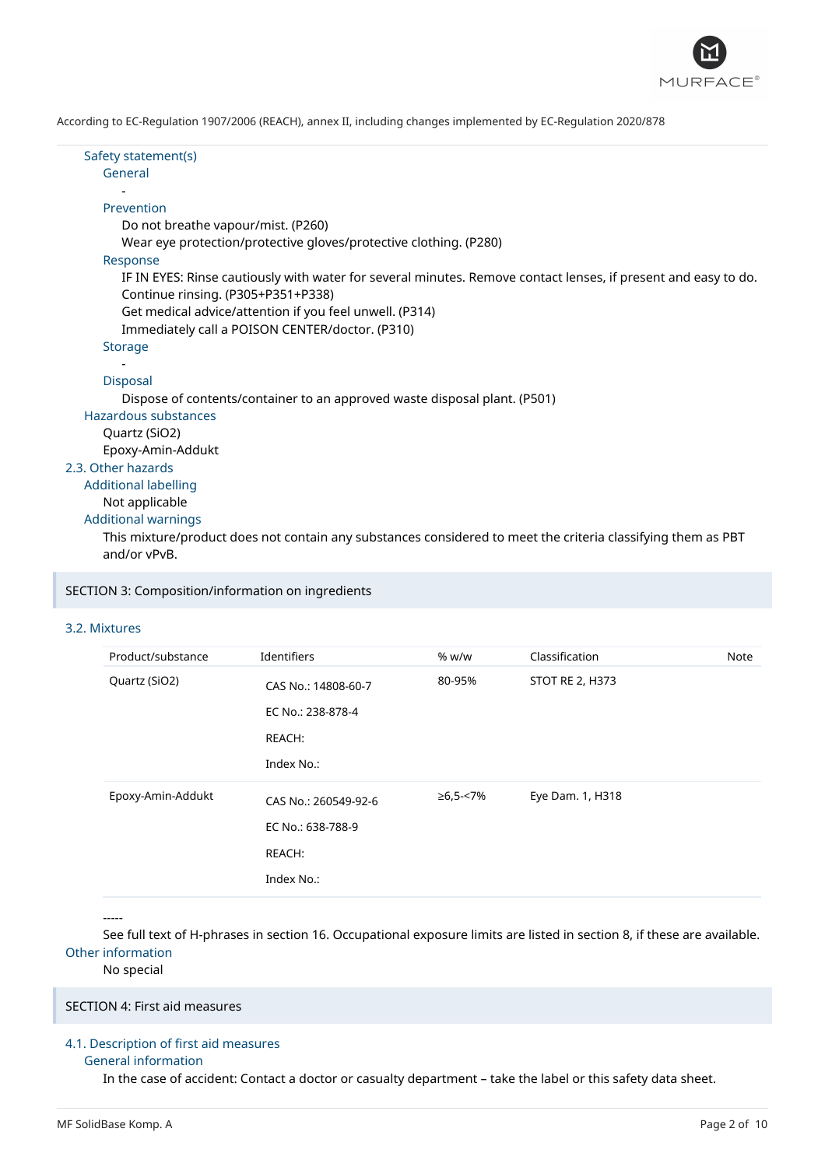

Safety statement(s) General - Prevention Do not breathe vapour/mist. (P260) Wear eye protection/protective gloves/protective clothing. (P280) Response IF IN EYES: Rinse cautiously with water for several minutes. Remove contact lenses, if present and easy to do. Continue rinsing. (P305+P351+P338) Get medical advice/attention if you feel unwell. (P314) Immediately call a POISON CENTER/doctor. (P310) Storage - Disposal Dispose of contents/container to an approved waste disposal plant. (P501) Hazardous substances Quartz (SiO2) Epoxy-Amin-Addukt 2.3. Other hazards Additional labelling Not applicable Additional warnings

This mixture/product does not contain any substances considered to meet the criteria classifying them as PBT and/or vPvB.

SECTION 3: Composition/information on ingredients

## 3.2. Mixtures

| Product/substance | Identifiers          | % w/w    | Classification   | Note |
|-------------------|----------------------|----------|------------------|------|
| Quartz (SiO2)     | CAS No.: 14808-60-7  | 80-95%   | STOT RE 2, H373  |      |
|                   | EC No.: 238-878-4    |          |                  |      |
|                   | REACH:               |          |                  |      |
|                   | Index No.:           |          |                  |      |
| Epoxy-Amin-Addukt | CAS No.: 260549-92-6 | ≥6,5-<7% | Eye Dam. 1, H318 |      |
|                   | EC No.: 638-788-9    |          |                  |      |
|                   | REACH:               |          |                  |      |
|                   | Index No.:           |          |                  |      |

-----

See full text of H-phrases in section 16. Occupational exposure limits are listed in section 8, if these are available. Other information

No special

SECTION 4: First aid measures

## 4.1. Description of first aid measures

#### General information

In the case of accident: Contact a doctor or casualty department – take the label or this safety data sheet.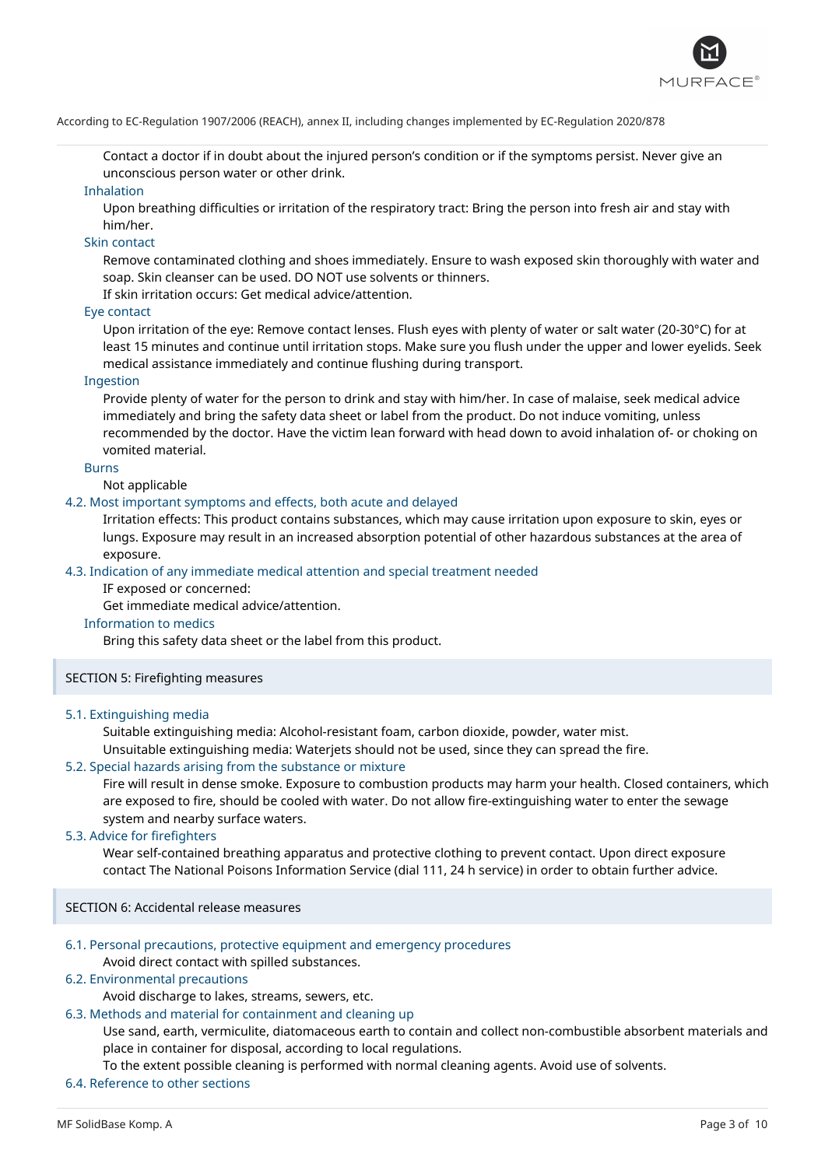

Contact a doctor if in doubt about the injured person's condition or if the symptoms persist. Never give an unconscious person water or other drink.

#### Inhalation

Upon breathing difficulties or irritation of the respiratory tract: Bring the person into fresh air and stay with him/her.

## Skin contact

Remove contaminated clothing and shoes immediately. Ensure to wash exposed skin thoroughly with water and soap. Skin cleanser can be used. DO NOT use solvents or thinners.

If skin irritation occurs: Get medical advice/attention.

## Eye contact

Upon irritation of the eye: Remove contact lenses. Flush eyes with plenty of water or salt water (20-30°C) for at least 15 minutes and continue until irritation stops. Make sure you flush under the upper and lower eyelids. Seek medical assistance immediately and continue flushing during transport.

#### Ingestion

Provide plenty of water for the person to drink and stay with him/her. In case of malaise, seek medical advice immediately and bring the safety data sheet or label from the product. Do not induce vomiting, unless recommended by the doctor. Have the victim lean forward with head down to avoid inhalation of- or choking on vomited material.

## Burns

Not applicable

#### 4.2. Most important symptoms and effects, both acute and delayed

Irritation effects: This product contains substances, which may cause irritation upon exposure to skin, eyes or lungs. Exposure may result in an increased absorption potential of other hazardous substances at the area of exposure.

#### 4.3. Indication of any immediate medical attention and special treatment needed

IF exposed or concerned:

Get immediate medical advice/attention.

## Information to medics

Bring this safety data sheet or the label from this product.

## SECTION 5: Firefighting measures

#### 5.1. Extinguishing media

Suitable extinguishing media: Alcohol-resistant foam, carbon dioxide, powder, water mist.

Unsuitable extinguishing media: Waterjets should not be used, since they can spread the fire.

## 5.2. Special hazards arising from the substance or mixture

Fire will result in dense smoke. Exposure to combustion products may harm your health. Closed containers, which are exposed to fire, should be cooled with water. Do not allow fire-extinguishing water to enter the sewage system and nearby surface waters.

#### 5.3. Advice for firefighters

Wear self-contained breathing apparatus and protective clothing to prevent contact. Upon direct exposure contact The National Poisons Information Service (dial 111, 24 h service) in order to obtain further advice.

SECTION 6: Accidental release measures

#### 6.1. Personal precautions, protective equipment and emergency procedures

Avoid direct contact with spilled substances.

## 6.2. Environmental precautions

Avoid discharge to lakes, streams, sewers, etc.

#### 6.3. Methods and material for containment and cleaning up

Use sand, earth, vermiculite, diatomaceous earth to contain and collect non-combustible absorbent materials and place in container for disposal, according to local regulations.

To the extent possible cleaning is performed with normal cleaning agents. Avoid use of solvents.

## 6.4. Reference to other sections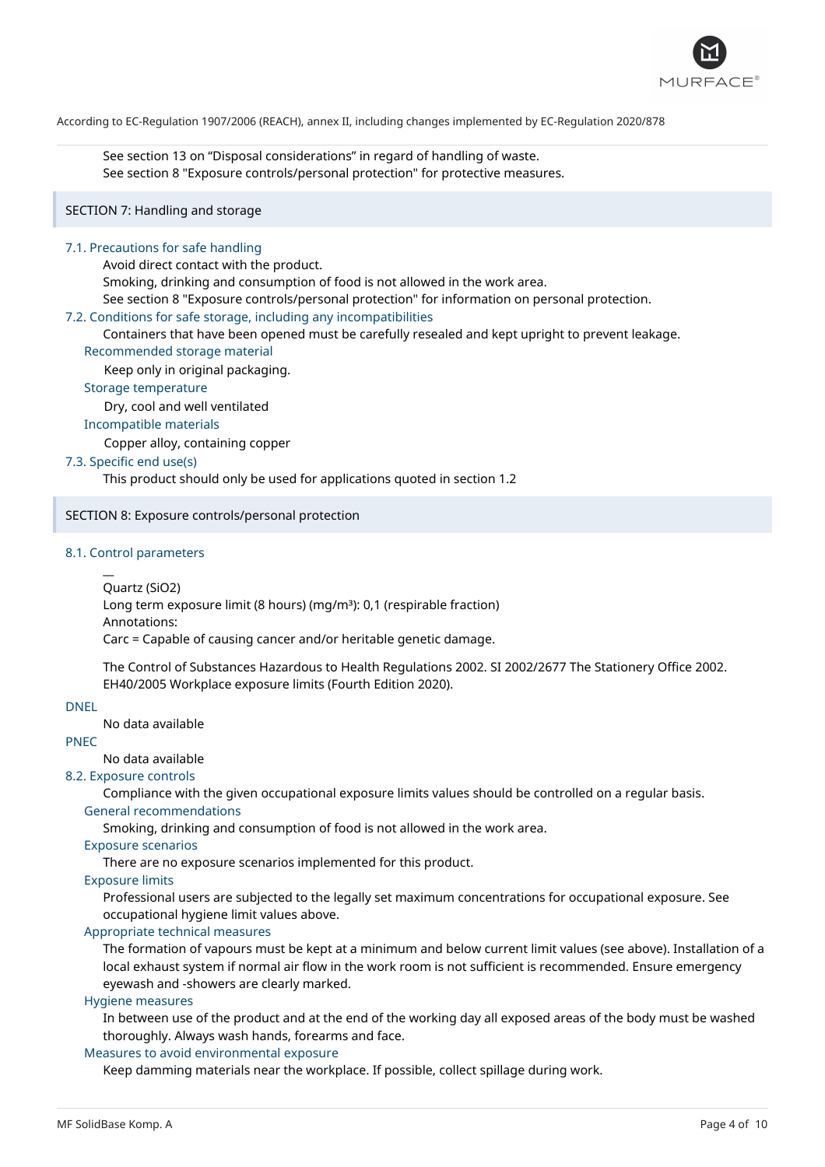

See section 13 on "Disposal considerations" in regard of handling of waste. See section 8 "Exposure controls/personal protection" for protective measures.

## SECTION 7: Handling and storage

#### 7.1. Precautions for safe handling

Avoid direct contact with the product.

Smoking, drinking and consumption of food is not allowed in the work area.

See section 8 "Exposure controls/personal protection" for information on personal protection.

#### 7.2. Conditions for safe storage, including any incompatibilities

Containers that have been opened must be carefully resealed and kept upright to prevent leakage.

#### Recommended storage material

Keep only in original packaging.

Storage temperature

Dry, cool and well ventilated

### Incompatible materials

Copper alloy, containing copper

## 7.3. Specific end use(s)

This product should only be used for applications quoted in section 1.2

#### SECTION 8: Exposure controls/personal protection

#### 8.1. Control parameters

 $\overline{a}$ 

Quartz (SiO2)

Long term exposure limit (8 hours) (mg/m<sup>3</sup>): 0,1 (respirable fraction) Annotations:

Carc = Capable of causing cancer and/or heritable genetic damage.

The Control of Substances Hazardous to Health Regulations 2002. SI 2002/2677 The Stationery Office 2002. EH40/2005 Workplace exposure limits (Fourth Edition 2020).

## DNEL

No data available

## PNEC

No data available

## 8.2. Exposure controls

Compliance with the given occupational exposure limits values should be controlled on a regular basis.

# General recommendations

Smoking, drinking and consumption of food is not allowed in the work area.

Exposure scenarios

There are no exposure scenarios implemented for this product.

#### Exposure limits

Professional users are subjected to the legally set maximum concentrations for occupational exposure. See occupational hygiene limit values above.

## Appropriate technical measures

The formation of vapours must be kept at a minimum and below current limit values (see above). Installation of a local exhaust system if normal air flow in the work room is not sufficient is recommended. Ensure emergency eyewash and -showers are clearly marked.

#### Hygiene measures

In between use of the product and at the end of the working day all exposed areas of the body must be washed thoroughly. Always wash hands, forearms and face.

### Measures to avoid environmental exposure

Keep damming materials near the workplace. If possible, collect spillage during work.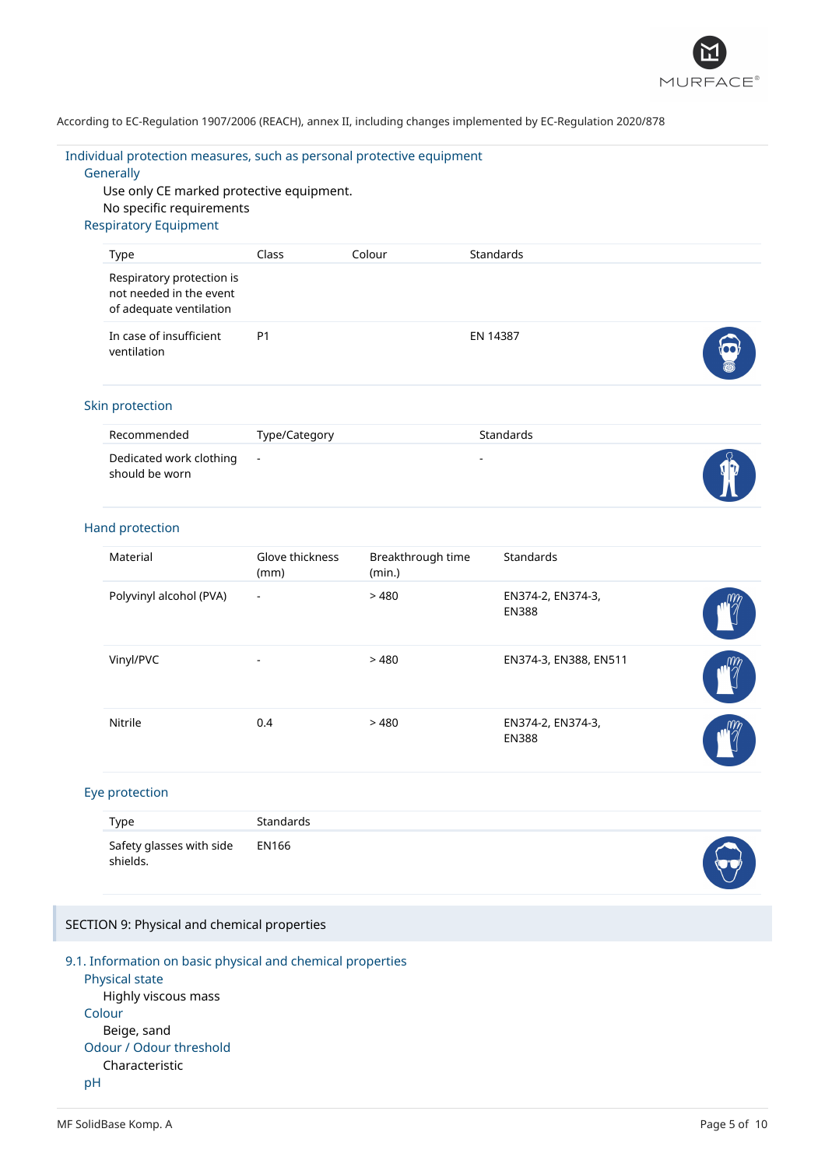

### Individual protection measures, such as personal protective equipment

### **Generally**

Use only CE marked protective equipment. No specific requirements Respiratory Equipment

| <b>Type</b>                                                                     | Class          | Colour | Standards |   |
|---------------------------------------------------------------------------------|----------------|--------|-----------|---|
| Respiratory protection is<br>not needed in the event<br>of adequate ventilation |                |        |           |   |
| In case of insufficient<br>ventilation                                          | P <sub>1</sub> |        | EN 14387  | 5 |

## Skin protection

| Recommended                                 | Type/Category | <b>Standards</b>         |  |
|---------------------------------------------|---------------|--------------------------|--|
| Dedicated work clothing -<br>should be worn |               | $\overline{\phantom{a}}$ |  |

### Hand protection

| Material                | Glove thickness<br>(mm) | Breakthrough time<br>(min.) | <b>Standards</b>                  |  |
|-------------------------|-------------------------|-----------------------------|-----------------------------------|--|
| Polyvinyl alcohol (PVA) | $\blacksquare$          | >480                        | EN374-2, EN374-3,<br><b>EN388</b> |  |
| Vinyl/PVC               | ٠                       | >480                        | EN374-3, EN388, EN511             |  |
| Nitrile                 | 0.4                     | >480                        | EN374-2, EN374-3,<br><b>EN388</b> |  |

### Eye protection

| Type                                       | Standards |  |
|--------------------------------------------|-----------|--|
| Safety glasses with side EN166<br>shields. |           |  |

## SECTION 9: Physical and chemical properties

## 9.1. Information on basic physical and chemical properties Physical state Highly viscous mass Colour

#### Beige, sand Odour / Odour threshold

Characteristic

# pH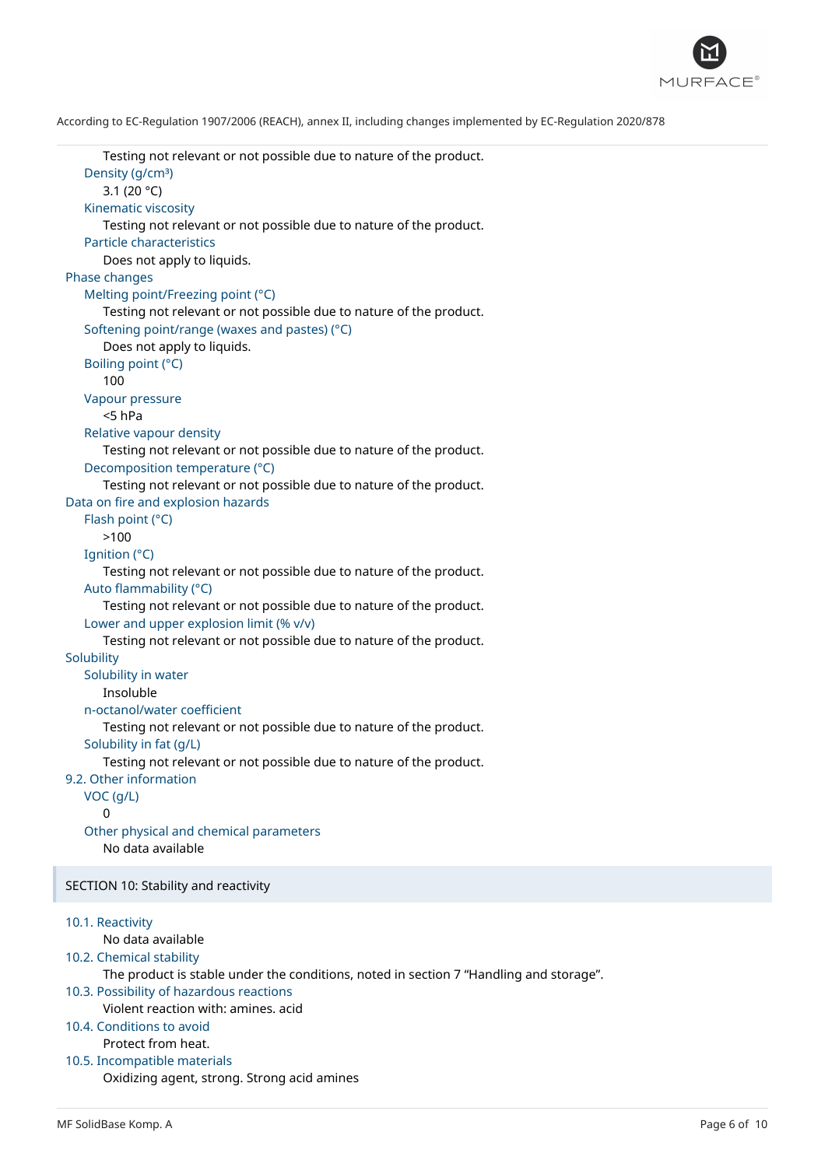

```
Testing not relevant or not possible due to nature of the product.
   Density (g/cm<sup>3</sup>)
      3.1 (20 °C)
   Kinematic viscosity
      Testing not relevant or not possible due to nature of the product.
   Particle characteristics
      Does not apply to liquids.
Phase changes
   Melting point/Freezing point (°C)
      Testing not relevant or not possible due to nature of the product.
   Softening point/range (waxes and pastes) (°C)
      Does not apply to liquids.
   Boiling point (°C)
      100
   Vapour pressure
      <5 hPa
   Relative vapour density
      Testing not relevant or not possible due to nature of the product.
   Decomposition temperature (°C)
      Testing not relevant or not possible due to nature of the product.
Data on fire and explosion hazards
   Flash point (°C)
      >100
   Ignition (°C)
      Testing not relevant or not possible due to nature of the product.
   Auto flammability (°C)
      Testing not relevant or not possible due to nature of the product.
   Lower and upper explosion limit (% v/v)
      Testing not relevant or not possible due to nature of the product.
Solubility
   Solubility in water
      Insoluble
   n-octanol/water coefficient
      Testing not relevant or not possible due to nature of the product.
   Solubility in fat (g/L)
      Testing not relevant or not possible due to nature of the product.
9.2. Other information
   VOC (g/L)
      \OmegaOther physical and chemical parameters
      No data available
SECTION 10: Stability and reactivity
10.1. Reactivity
      No data available
10.2. Chemical stability
      The product is stable under the conditions, noted in section 7 "Handling and storage".
10.3. Possibility of hazardous reactions
      Violent reaction with: amines. acid
10.4. Conditions to avoid
      Protect from heat.
10.5. Incompatible materials
      Oxidizing agent, strong. Strong acid amines
```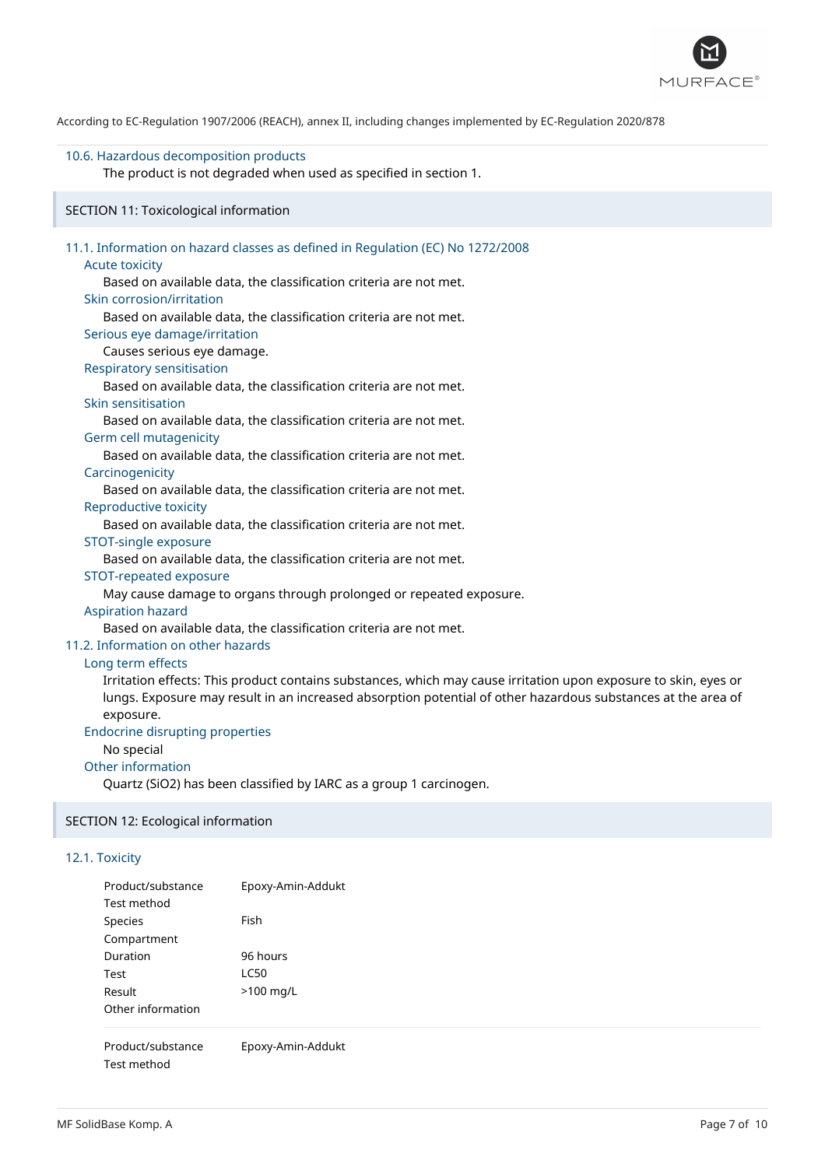

### 10.6. Hazardous decomposition products

The product is not degraded when used as specified in section 1.

## SECTION 11: Toxicological information

| 11.1. Information on hazard classes as defined in Regulation (EC) No 1272/2008                                  |
|-----------------------------------------------------------------------------------------------------------------|
| <b>Acute toxicity</b>                                                                                           |
| Based on available data, the classification criteria are not met.                                               |
| Skin corrosion/irritation                                                                                       |
| Based on available data, the classification criteria are not met.                                               |
| Serious eye damage/irritation                                                                                   |
| Causes serious eye damage.                                                                                      |
| <b>Respiratory sensitisation</b>                                                                                |
| Based on available data, the classification criteria are not met.                                               |
| Skin sensitisation                                                                                              |
| Based on available data, the classification criteria are not met.                                               |
| Germ cell mutagenicity                                                                                          |
| Based on available data, the classification criteria are not met.                                               |
| Carcinogenicity                                                                                                 |
| Based on available data, the classification criteria are not met.                                               |
| Reproductive toxicity                                                                                           |
| Based on available data, the classification criteria are not met.                                               |
| STOT-single exposure                                                                                            |
| Based on available data, the classification criteria are not met.                                               |
| STOT-repeated exposure                                                                                          |
| May cause damage to organs through prolonged or repeated exposure.                                              |
| <b>Aspiration hazard</b>                                                                                        |
| Based on available data, the classification criteria are not met.                                               |
| 11.2. Information on other hazards                                                                              |
| Long term effects                                                                                               |
| Irritation effects: This product contains substances, which may cause irritation upon exposure to skin, eyes or |
| lungs. Exposure may result in an increased absorption potential of other hazardous substances at the area of    |
| exposure.                                                                                                       |
| <b>Endocrine disrupting properties</b>                                                                          |

# No special

Other information Quartz (SiO2) has been classified by IARC as a group 1 carcinogen.

## SECTION 12: Ecological information

## 12.1. Toxicity

| Product/substance<br>Test method | Epoxy-Amin-Addukt |
|----------------------------------|-------------------|
| Species                          | Fish              |
| Compartment                      |                   |
| Duration                         | 96 hours          |
| Test                             | 1C50              |
| Result                           | $>100$ mg/L       |
| Other information                |                   |
| Product/substance<br>Test method | Epoxy-Amin-Addukt |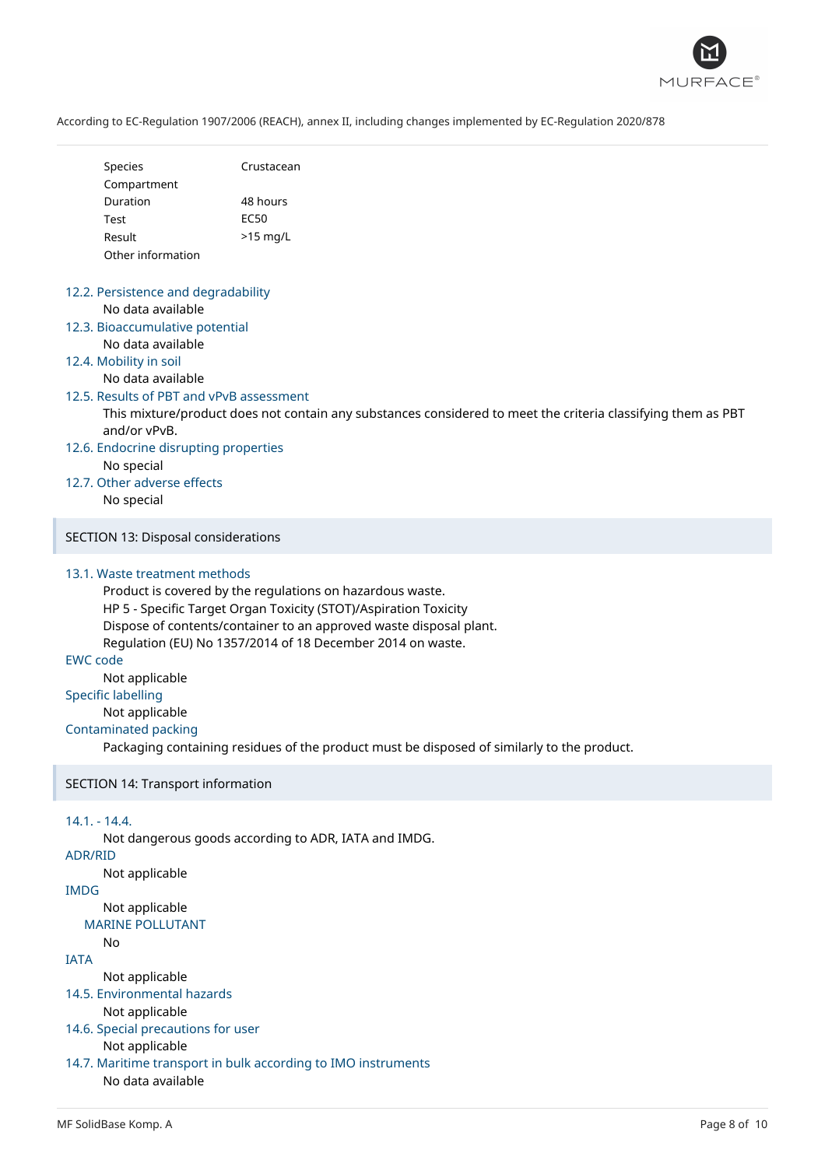

| <b>Species</b>    | Crustacean |
|-------------------|------------|
| Compartment       |            |
| Duration          | 48 hours   |
| Test              | FC50       |
| Result            | $>15$ mg/L |
| Other information |            |

## 12.2. Persistence and degradability No data available

- 12.3. Bioaccumulative potential No data available
- 12.4. Mobility in soil

## No data available

#### 12.5. Results of PBT and vPvB assessment

This mixture/product does not contain any substances considered to meet the criteria classifying them as PBT and/or vPvB.

- 12.6. Endocrine disrupting properties No special
- 12.7. Other adverse effects No special

SECTION 13: Disposal considerations

## 13.1. Waste treatment methods

Product is covered by the regulations on hazardous waste. HP 5 - Specific Target Organ Toxicity (STOT)/Aspiration Toxicity Dispose of contents/container to an approved waste disposal plant. Regulation (EU) No 1357/2014 of 18 December 2014 on waste.

EWC code

Not applicable

Specific labelling

Not applicable

## Contaminated packing

Packaging containing residues of the product must be disposed of similarly to the product.

## SECTION 14: Transport information

## 14.1. - 14.4.

Not dangerous goods according to ADR, IATA and IMDG.

## ADR/RID

Not applicable

# IMDG

Not applicable MARINE POLLUTANT

# No

## IATA

Not applicable

- 14.5. Environmental hazards
	- Not applicable
- 14.6. Special precautions for user

## Not applicable

14.7. Maritime transport in bulk according to IMO instruments No data available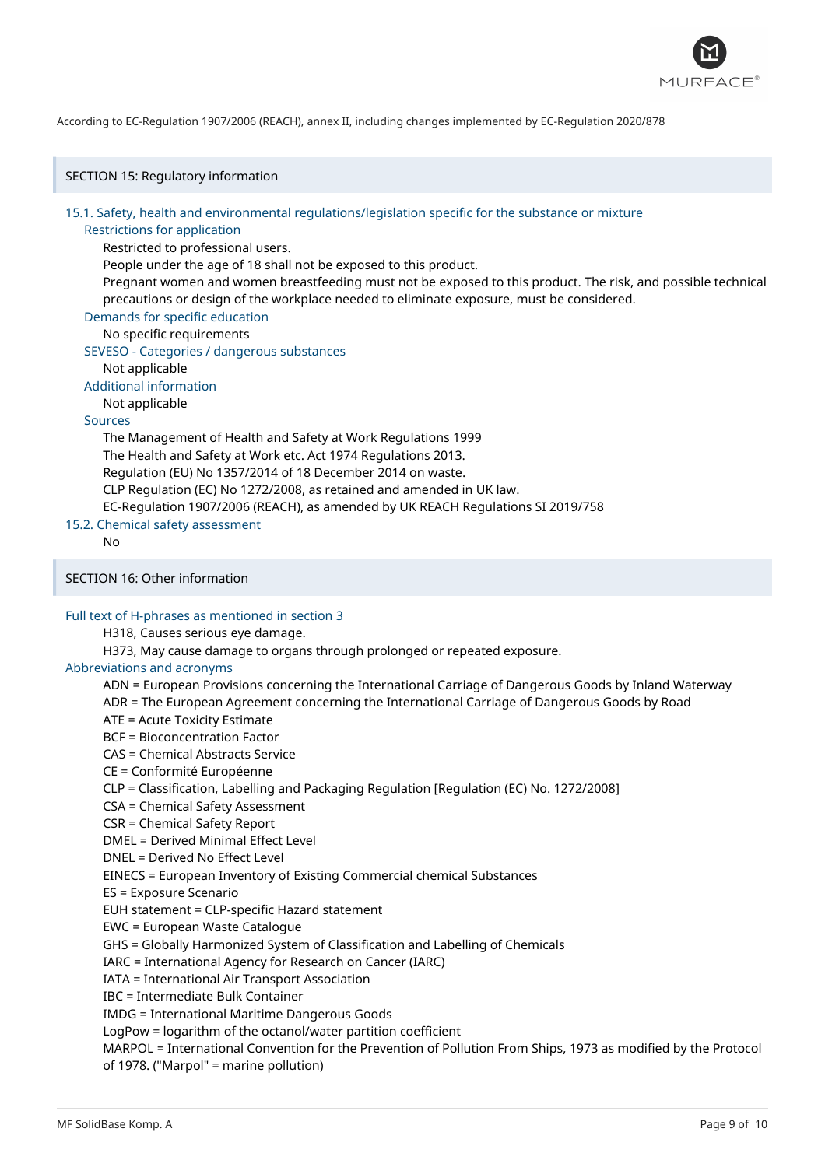

SECTION 15: Regulatory information

#### 15.1. Safety, health and environmental regulations/legislation specific for the substance or mixture

#### Restrictions for application

Restricted to professional users.

People under the age of 18 shall not be exposed to this product.

Pregnant women and women breastfeeding must not be exposed to this product. The risk, and possible technical precautions or design of the workplace needed to eliminate exposure, must be considered.

Demands for specific education

## No specific requirements

SEVESO - Categories / dangerous substances

Not applicable

Additional information

Not applicable

## Sources

The Management of Health and Safety at Work Regulations 1999 The Health and Safety at Work etc. Act 1974 Regulations 2013. Regulation (EU) No 1357/2014 of 18 December 2014 on waste. CLP Regulation (EC) No 1272/2008, as retained and amended in UK law. EC-Regulation 1907/2006 (REACH), as amended by UK REACH Regulations SI 2019/758

15.2. Chemical safety assessment

No

SECTION 16: Other information

## Full text of H-phrases as mentioned in section 3

H318, Causes serious eye damage.

H373, May cause damage to organs through prolonged or repeated exposure.

#### Abbreviations and acronyms

ADN = European Provisions concerning the International Carriage of Dangerous Goods by Inland Waterway

ADR = The European Agreement concerning the International Carriage of Dangerous Goods by Road

ATE = Acute Toxicity Estimate

BCF = Bioconcentration Factor

CAS = Chemical Abstracts Service

CE = Conformité Européenne

CLP = Classification, Labelling and Packaging Regulation [Regulation (EC) No. 1272/2008]

CSA = Chemical Safety Assessment

CSR = Chemical Safety Report

DMEL = Derived Minimal Effect Level

DNEL = Derived No Effect Level

EINECS = European Inventory of Existing Commercial chemical Substances

ES = Exposure Scenario

EUH statement = CLP-specific Hazard statement

EWC = European Waste Catalogue

GHS = Globally Harmonized System of Classification and Labelling of Chemicals

IARC = International Agency for Research on Cancer (IARC)

IATA = International Air Transport Association

IBC = Intermediate Bulk Container

IMDG = International Maritime Dangerous Goods

LogPow = logarithm of the octanol/water partition coefficient

MARPOL = International Convention for the Prevention of Pollution From Ships, 1973 as modified by the Protocol of 1978. ("Marpol" = marine pollution)